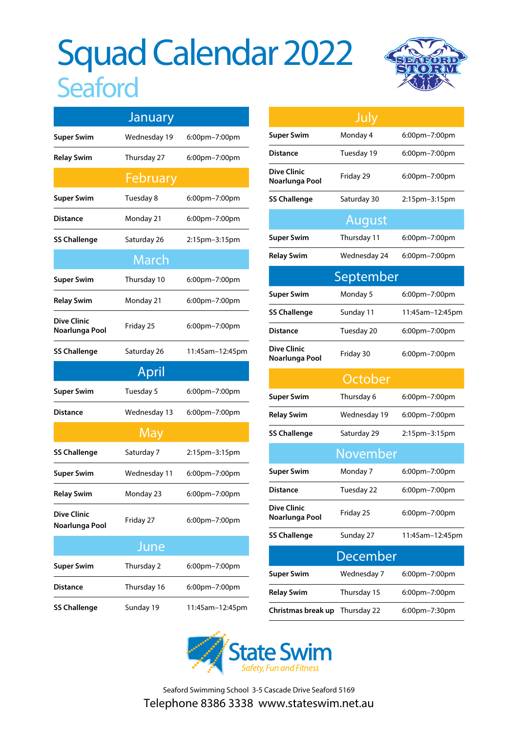# Squad Calendar 2022 **Seaford**



|                                      | January      |                 |  |  |
|--------------------------------------|--------------|-----------------|--|--|
| <b>Super Swim</b>                    | Wednesday 19 | 6:00pm-7:00pm   |  |  |
| Relay Swim                           | Thursday 27  | 6:00pm-7:00pm   |  |  |
|                                      | February     |                 |  |  |
| <b>Super Swim</b>                    | Tuesday 8    | 6:00pm-7:00pm   |  |  |
| <b>Distance</b>                      | Monday 21    | 6:00pm-7:00pm   |  |  |
| <b>SS Challenge</b>                  | Saturday 26  | 2:15pm-3:15pm   |  |  |
|                                      | March        |                 |  |  |
| <b>Super Swim</b>                    | Thursday 10  | 6:00pm-7:00pm   |  |  |
| <b>Relay Swim</b>                    | Monday 21    | 6:00pm-7:00pm   |  |  |
| <b>Dive Clinic</b><br>Noarlunga Pool | Friday 25    | 6:00pm-7:00pm   |  |  |
| <b>SS Challenge</b>                  | Saturday 26  | 11:45am-12:45pm |  |  |
|                                      | April        |                 |  |  |
| <b>Super Swim</b>                    | Tuesday 5    | 6:00pm-7:00pm   |  |  |
| Distance                             | Wednesday 13 | 6:00pm-7:00pm   |  |  |
|                                      | May          |                 |  |  |
| <b>SS Challenge</b>                  | Saturday 7   | 2:15pm-3:15pm   |  |  |
| <b>Super Swim</b>                    | Wednesday 11 | 6:00pm-7:00pm   |  |  |
| <b>Relay Swim</b>                    | Monday 23    | 6:00pm-7:00pm   |  |  |
| <b>Dive Clinic</b><br>Noarlunga Pool | Friday 27    | 6:00pm-7:00pm   |  |  |
| June                                 |              |                 |  |  |
| <b>Super Swim</b>                    | Thursday 2   | 6:00pm-7:00pm   |  |  |
| Distance                             | Thursday 16  | 6:00pm-7:00pm   |  |  |
| <b>SS Challenge</b>                  | Sunday 19    | 11:45am-12:45pm |  |  |

|                                      | July         |                 |  |  |
|--------------------------------------|--------------|-----------------|--|--|
| <b>Super Swim</b>                    | Monday 4     | 6:00pm-7:00pm   |  |  |
| Distance                             | Tuesday 19   | 6:00pm-7:00pm   |  |  |
| <b>Dive Clinic</b><br>Noarlunga Pool | Friday 29    | 6:00pm-7:00pm   |  |  |
| <b>SS Challenge</b>                  | Saturday 30  | 2:15pm-3:15pm   |  |  |
| August                               |              |                 |  |  |
| <b>Super Swim</b>                    | Thursday 11  | 6:00pm-7:00pm   |  |  |
| Relay Swim                           | Wednesday 24 | 6:00pm-7:00pm   |  |  |
| September                            |              |                 |  |  |
| <b>Super Swim</b>                    | Monday 5     | 6:00pm-7:00pm   |  |  |
| SS Challenge                         | Sunday 11    | 11:45am-12:45pm |  |  |
| Distance                             | Tuesday 20   | 6:00pm-7:00pm   |  |  |
| Dive Clinic<br>Noarlunga Pool        | Friday 30    | 6:00pm-7:00pm   |  |  |
|                                      | October      |                 |  |  |
| <b>Super Swim</b>                    | Thursday 6   | 6:00pm-7:00pm   |  |  |
| Relay Swim                           | Wednesday 19 | 6:00pm-7:00pm   |  |  |
| SS Challenge                         | Saturday 29  | 2:15pm-3:15pm   |  |  |
|                                      | November     |                 |  |  |
| <b>Super Swim</b>                    | Monday 7     | 6:00pm-7:00pm   |  |  |
| Distance                             | Tuesday 22   | 6:00pm-7:00pm   |  |  |
| Dive Clinic<br>Noarlunga Pool        | Friday 25    | 6:00pm-7:00pm   |  |  |
| <b>SS Challenge</b>                  | Sunday 27    | 11:45am-12:45pm |  |  |
| December                             |              |                 |  |  |
| Super Swim                           | Wednesday 7  | 6:00pm-7:00pm   |  |  |
| Relay Swim                           | Thursday 15  | 6:00pm-7:00pm   |  |  |
| Christmas break up                   | Thursday 22  | 6:00pm-7:30pm   |  |  |



Seaford Swimming School 3-5 Cascade Drive Seaford 5169 Telephone 8386 3338 www.stateswim.net.au